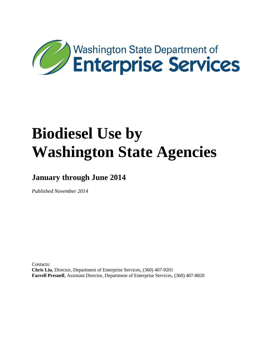

**January through June 2014**

*Published November 2014*

Contacts: **Chris Liu**, Director, Department of Enterprise Services, (360) 407-9201 **Farrell Presnell**, Assistant Director, Department of Enterprise Services, (360) 407-8820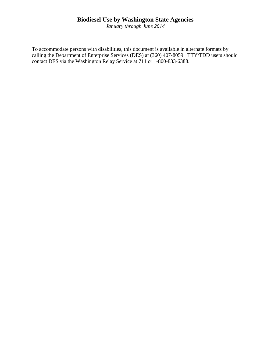*January through June 2014*

To accommodate persons with disabilities, this document is available in alternate formats by calling the Department of Enterprise Services (DES) at (360) 407-8059. TTY/TDD users should contact DES via the Washington Relay Service at 711 or 1-800-833-6388.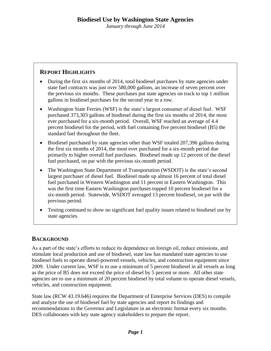### **REPORT HIGHLIGHTS**

- During the first six months of 2014, total biodiesel purchases by state agencies under state fuel contracts was just over 580,000 gallons, an increase of seven percent over the previous six months. These purchases put state agencies on track to top 1 million gallons in biodiesel purchases for the second year in a row.
- Washington State Ferries (WSF) is the state's largest consumer of diesel fuel. WSF purchased 373,303 gallons of biodiesel during the first six months of 2014, the most ever purchased for a six-month period. Overall, WSF reached an average of 4.4 percent biodiesel for the period, with fuel containing five percent biodiesel (B5) the standard fuel throughout the fleet.
- Biodiesel purchased by state agencies other than WSF totaled 207,396 gallons during the first six months of 2014, the most ever purchased for a six-month period due primarily to higher overall fuel purchases. Biodiesel made up 12 percent of the diesel fuel purchased, on par with the previous six-month period.
- The Washington State Department of Transportation (WSDOT) is the state's second largest purchaser of diesel fuel. Biodiesel made up almost 16 percent of total diesel fuel purchased in Western Washington and 11 percent in Eastern Washington. This was the first time Eastern Washington purchases topped 10 percent biodiesel for a six-month period. Statewide, WSDOT averaged 13 percent biodiesel, on par with the previous period.
- Testing continued to show no significant fuel quality issues related to biodiesel use by state agencies.

#### **BACKGROUND**

As a part of the state's efforts to reduce its dependence on foreign oil, reduce emissions, and stimulate local production and use of biodiesel, state law has mandated state agencies to use biodiesel fuels to operate diesel-powered vessels, vehicles, and construction equipment since 2009. Under current law, WSF is to use a minimum of 5 percent biodiesel in all vessels as long as the price of B5 does not exceed the price of diesel by 5 percent or more. All other state agencies are to use a minimum of 20 percent biodiesel by total volume to operate diesel vessels, vehicles, and construction equipment.

State law (RCW 43.19.646) requires the Department of Enterprise Services (DES) to compile and analyze the use of biodiesel fuel by state agencies and report its findings and recommendations to the Governor and Legislature in an electronic format every six months. DES collaborates with key state agency stakeholders to prepare the report.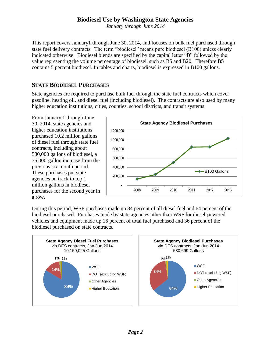*January through June 2014*

This report covers January1 through June 30, 2014, and focuses on bulk fuel purchased through state fuel delivery contracts. The term "biodiesel" means pure biodiesel (B100) unless clearly indicated otherwise. Biodiesel blends are specified by the capital letter "B" followed by the value representing the volume percentage of biodiesel, such as B5 and B20. Therefore B5 contains 5 percent biodiesel. In tables and charts, biodiesel is expressed in B100 gallons.

#### **STATE BIODIESEL PURCHASES**

State agencies are required to purchase bulk fuel through the state fuel contracts which cover gasoline, heating oil, and diesel fuel (including biodiesel). The contracts are also used by many higher education institutions, cities, counties, school districts, and transit systems.

From January 1 through June 30, 2014, state agencies and higher education institutions purchased 10.2 million gallons of diesel fuel through state fuel contracts, including about 580,000 gallons of biodiesel, a 35,000-gallon increase from the previous six-month period. These purchases put state agencies on track to top 1 million gallons in biodiesel purchases for the second year in a row.



During this period, WSF purchases made up 84 percent of all diesel fuel and 64 percent of the biodiesel purchased. Purchases made by state agencies other than WSF for diesel-powered vehicles and equipment made up 16 percent of total fuel purchased and 36 percent of the biodiesel purchased on state contracts.

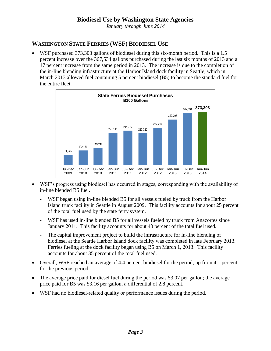*January through June 2014*

# **WASHINGTON STATE FERRIES (WSF) BIODIESEL USE**

WSF purchased 373,303 gallons of biodiesel during this six-month period. This is a 1.5 percent increase over the 367,534 gallons purchased during the last six months of 2013 and a 17 percent increase from the same period in 2013. The increase is due to the completion of the in-line blending infrastructure at the Harbor Island dock facility in Seattle, which in March 2013 allowed fuel containing 5 percent biodiesel (B5) to become the standard fuel for the entire fleet.



- WSF's progress using biodiesel has occurred in stages, corresponding with the availability of in-line blended B5 fuel.
	- WSF began using in-line blended B5 for all vessels fueled by truck from the Harbor Island truck facility in Seattle in August 2009. This facility accounts for about 25 percent of the total fuel used by the state ferry system.
	- WSF has used in-line blended B5 for all vessels fueled by truck from Anacortes since January 2011. This facility accounts for about 40 percent of the total fuel used.
	- The capital improvement project to build the infrastructure for in-line blending of biodiesel at the Seattle Harbor Island dock facility was completed in late February 2013. Ferries fueling at the dock facility began using B5 on March 1, 2013. This facility accounts for about 35 percent of the total fuel used.
- Overall, WSF reached an average of 4.4 percent biodiesel for the period, up from 4.1 percent for the previous period.
- The average price paid for diesel fuel during the period was \$3.07 per gallon; the average price paid for B5 was \$3.16 per gallon, a differential of 2.8 percent.
- WSF had no biodiesel-related quality or performance issues during the period.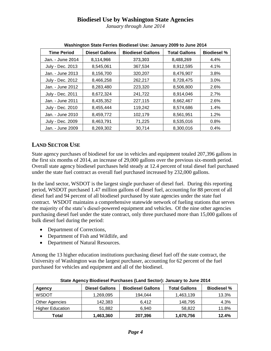*January through June 2014*

| <b>Time Period</b> | <b>Diesel Gallons</b> | <b>Biodiesel Gallons</b> | <b>Total Gallons</b> | <b>Biodiesel %</b> |  |
|--------------------|-----------------------|--------------------------|----------------------|--------------------|--|
| Jan. - June 2014   | 8,114,966             | 373,303                  | 8,488,269            | 4.4%               |  |
| July - Dec. 2013   | 8,545,061             | 367,534                  | 8,912,595            | 4.1%               |  |
| Jan. - June 2013   | 8,156,700             | 320,207                  | 8,476,907            | 3.8%               |  |
| July - Dec. 2012   | 8,466,258             | 262,217                  | 8,728,475            | 3.0%               |  |
| Jan. - June 2012   | 8,283,480             | 223,320                  | 8,506,800            | 2.6%               |  |
| July - Dec. 2011   | 8,672,324             | 241,722                  | 8,914,046            | 2.7%               |  |
| Jan. - June 2011   | 8,435,352             | 227,115                  | 8,662,467            | 2.6%               |  |
| July - Dec. 2010   | 8,455,444             | 119,242                  | 8,574,686            | 1.4%               |  |
| Jan. - June 2010   | 8,459,772             | 102,179                  | 8,561,951            | 1.2%               |  |
| July - Dec. 2009   | 8,463,791             | 71,225                   | 8,535,016            | 0.8%               |  |
| Jan. - June 2009   | 8,269,302             | 30,714                   | 8,300,016            | 0.4%               |  |

**Washington State Ferries Biodiesel Use: January 2009 to June 2014**

# **LAND SECTOR USE**

State agency purchases of biodiesel for use in vehicles and equipment totaled 207,396 gallons in the first six months of 2014, an increase of 29,000 gallons over the previous six-month period. Overall state agency biodiesel purchases held steady at 12.4 percent of total diesel fuel purchased under the state fuel contract as overall fuel purchased increased by 232,000 gallons.

In the land sector, WSDOT is the largest single purchaser of diesel fuel. During this reporting period, WSDOT purchased 1.47 million gallons of diesel fuel, accounting for 88 percent of all diesel fuel and 94 percent of all biodiesel purchased by state agencies under the state fuel contract. WSDOT maintains a comprehensive statewide network of fueling stations that serves the majority of the state's diesel-powered equipment and vehicles. Of the nine other agencies purchasing diesel fuel under the state contract, only three purchased more than 15,000 gallons of bulk diesel fuel during the period:

- Department of Corrections,
- Department of Fish and Wildlife, and
- Department of Natural Resources.

Among the 13 higher education institutions purchasing diesel fuel off the state contract, the University of Washington was the largest purchaser, accounting for 62 percent of the fuel purchased for vehicles and equipment and all of the biodiesel.

| <b>Agency</b>           | <b>Diesel Gallons</b> | <b>Biodiesel Gallons</b> | <b>Total Gallons</b> | <b>Biodiesel %</b> |  |  |
|-------------------------|-----------------------|--------------------------|----------------------|--------------------|--|--|
| <b>WSDOT</b>            | 1,269,095             | 194.044                  | 1,463,139            | 13.3%              |  |  |
| <b>Other Agencies</b>   | 142,383               | 6.412                    | 148,795              | 4.3%               |  |  |
| <b>Higher Education</b> | 51,882                | 6.940                    | 58.822               | 11.8%              |  |  |
| Total                   | 1,463,360             | 207,396                  | 1,670,756            | 12.4%              |  |  |

**State Agency Biodiesel Purchases (Land Sector): January to June 2014**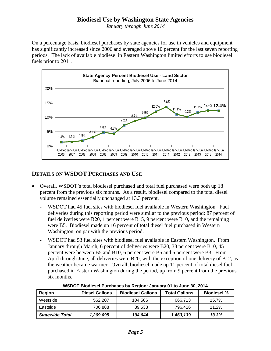*January through June 2014*

On a percentage basis, biodiesel purchases by state agencies for use in vehicles and equipment has significantly increased since 2006 and averaged above 10 percent for the last seven reporting periods. The lack of available biodiesel in Eastern Washington limited efforts to use biodiesel fuels prior to 2011.



# **DETAILS ON WSDOT PURCHASES AND USE**

- Overall, WSDOT's total biodiesel purchased and total fuel purchased were both up 18 percent from the previous six months. As a result, biodiesel compared to the total diesel volume remained essentially unchanged at 13.3 percent.
	- WSDOT had 45 fuel sites with biodiesel fuel available in Western Washington. Fuel deliveries during this reporting period were similar to the previous period: 87 percent of fuel deliveries were B20, 1 percent were B15, 9 percent were B10, and the remaining were B5. Biodiesel made up 16 percent of total diesel fuel purchased in Western Washington, on par with the previous period.
	- WSDOT had 53 fuel sites with biodiesel fuel available in Eastern Washington. From January through March, 6 percent of deliveries were B20, 38 percent were B10, 45 percent were between B5 and B10, 6 percent were B5 and 5 percent were B3. From April through June, all deliveries were B20, with the exception of one delivery of B12, as the weather became warmer. Overall, biodiesel made up 11 percent of total diesel fuel purchased in Eastern Washington during the period, up from 9 percent from the previous six months.

| <b>Region</b>          | <b>Diesel Gallons</b> | <b>Biodiesel Gallons</b> | <b>Total Gallons</b> | <b>Biodiesel %</b> |
|------------------------|-----------------------|--------------------------|----------------------|--------------------|
| Westside               | 562.207               | 104.506                  | 666.713              | 15.7%              |
| Eastside               | 706.888               | 89.538                   | 796.426              | 11.2%              |
| <b>Statewide Total</b> | 1,269,095             | 194.044                  | 1,463,139            | 13.3%              |

**WSDOT Biodiesel Purchases by Region: January 01 to June 30, 2014**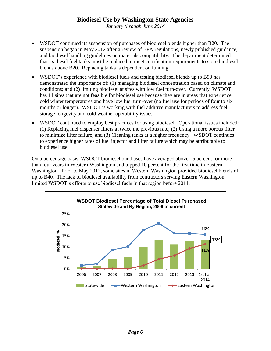*January through June 2014*

- WSDOT continued its suspension of purchases of biodiesel blends higher than B20. The suspension began in May 2012 after a review of EPA regulations, newly published guidance, and biodiesel handling guidelines on materials compatibility. The department determined that its diesel fuel tanks must be replaced to meet certification requirements to store biodiesel blends above B20. Replacing tanks is dependent on funding.
- WSDOT's experience with biodiesel fuels and testing biodiesel blends up to B90 has demonstrated the importance of: (1) managing biodiesel concentration based on climate and conditions; and (2) limiting biodiesel at sites with low fuel turn-over. Currently, WSDOT has 11 sites that are not feasible for biodiesel use because they are in areas that experience cold winter temperatures and have low fuel turn-over (no fuel use for periods of four to six months or longer). WSDOT is working with fuel additive manufacturers to address fuel storage longevity and cold weather operability issues.
- WSDOT continued to employ best practices for using biodiesel. Operational issues included: (1) Replacing fuel dispenser filters at twice the previous rate; (2) Using a more porous filter to minimize filter failure; and (3) Cleaning tanks at a higher frequency. WSDOT continues to experience higher rates of fuel injector and filter failure which may be attributable to biodiesel use.

On a percentage basis, WSDOT biodiesel purchases have averaged above 15 percent for more than four years in Western Washington and topped 10 percent for the first time in Eastern Washington. Prior to May 2012, some sites in Western Washington provided biodiesel blends of up to B40*.* The lack of biodiesel availability from contractors serving Eastern Washington limited WSDOT's efforts to use biodiesel fuels in that region before 2011.

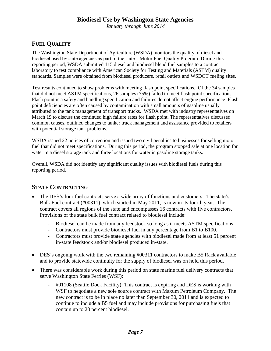*January through June 2014*

# **FUEL QUALITY**

The Washington State Department of Agriculture (WSDA) monitors the quality of diesel and biodiesel used by state agencies as part of the state's Motor Fuel Quality Program. During this reporting period, WSDA submitted 115 diesel and biodiesel blend fuel samples to a contract laboratory to test compliance with American Society for Testing and Materials (ASTM) quality standards. Samples were obtained from biodiesel producers, retail outlets and WSDOT fueling sites.

Test results continued to show problems with meeting flash point specifications. Of the 34 samples that did not meet ASTM specifications, 26 samples (75%) failed to meet flash point specifications. Flash point is a safety and handling specification and failures do not affect engine performance. Flash point deficiencies are often caused by contamination with small amounts of gasoline usually attributed to the tank management of transport trucks. WSDA met with industry representatives on March 19 to discuss the continued high failure rates for flash point. The representatives discussed common causes, outlined changes to tanker truck management and assistance provided to retailers with potential storage tank problems.

WSDA issued 22 notices of correction and issued two civil penalties to businesses for selling motor fuel that did not meet specifications. During this period, the program stopped sale at one location for water in a diesel storage tank and three locations for water in gasoline storage tanks.

Overall, WSDA did not identify any significant quality issues with biodiesel fuels during this reporting period.

#### **STATE CONTRACTING**

- The DES's four fuel contracts serve a wide array of functions and customers. The state's Bulk Fuel contract (#00311), which started in May 2011, is now in its fourth year. The contract covers all regions of the state and encompasses 16 contracts with five contractors. Provisions of the state bulk fuel contract related to biodiesel include:
	- Biodiesel can be made from any feedstock so long as it meets ASTM specifications.
	- Contractors must provide biodiesel fuel in any percentage from B1 to B100.
	- Contractors must provide state agencies with biodiesel made from at least 51 percent in-state feedstock and/or biodiesel produced in-state.
- DES's ongoing work with the two remaining #00311 contractors to make B5 Rack available and to provide statewide continuity for the supply of biodiesel was on hold this period.
- There was considerable work during this period on state marine fuel delivery contracts that serve Washington State Ferries (WSF):
	- #01108 (Seattle Dock Facility): This contract is expiring and DES is working with WSF to negotiate a new sole source contract with Maxum Petroleum Company. The new contract is to be in place no later than September 30, 2014 and is expected to continue to include a B5 fuel and may include provisions for purchasing fuels that contain up to 20 percent biodiesel.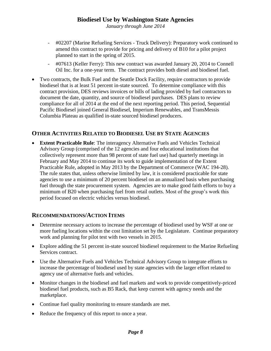*January through June 2014*

- #02207 (Marine Refueling Services Truck Delivery): Preparatory work continued to amend this contract to provide for pricing and delivery of B10 for a pilot project planned to start in the spring of 2015.
- #07613 (Keller Ferry): This new contract was awarded January 20, 2014 to Connell Oil Inc. for a one-year term. The contract provides both diesel and biodiesel fuel.
- Two contracts, the Bulk Fuel and the Seattle Dock Facility, require contractors to provide biodiesel that is at least 51 percent in-state sourced. To determine compliance with this contract provision, DES reviews invoices or bills of lading provided by fuel contractors to document the date, quantity, and source of biodiesel purchases. DES plans to review compliance for all of 2014 at the end of the next reporting period. This period, Sequential Pacific Biodiesel joined General Biodiesel, Imperium Renewables, and TransMessis Columbia Plateau as qualified in-state sourced biodiesel producers.

#### **OTHER ACTIVITIES RELATED TO BIODIESEL USE BY STATE AGENCIES**

 **Extent Practicable Rule**: The interagency Alternative Fuels and Vehicles Technical Advisory Group (comprised of the 12 agencies and four educational institutions that collectively represent more than 98 percent of state fuel use) had quarterly meetings in February and May 2014 to continue its work to guide implementation of the Extent Practicable Rule, adopted in May 2013 by the Department of Commerce (WAC 194-28). The rule states that, unless otherwise limited by law, it is considered practicable for state agencies to use a minimum of 20 percent biodiesel on an annualized basis when purchasing fuel through the state procurement system. Agencies are to make good faith efforts to buy a minimum of B20 when purchasing fuel from retail outlets. Most of the group's work this period focused on electric vehicles versus biodiesel.

#### **RECOMMENDATIONS/ACTION ITEMS**

- Determine necessary actions to increase the percentage of biodiesel used by WSF at one or more fueling locations within the cost limitation set by the Legislature. Continue preparatory work and planning for pilot test with two vessels in 2015.
- Explore adding the 51 percent in-state sourced biodiesel requirement to the Marine Refueling Services contract.
- Use the Alternative Fuels and Vehicles Technical Advisory Group to integrate efforts to increase the percentage of biodiesel used by state agencies with the larger effort related to agency use of alternative fuels and vehicles.
- Monitor changes in the biodiesel and fuel markets and work to provide competitively-priced biodiesel fuel products, such as B5 Rack, that keep current with agency needs and the marketplace.
- Continue fuel quality monitoring to ensure standards are met.
- Reduce the frequency of this report to once a year.